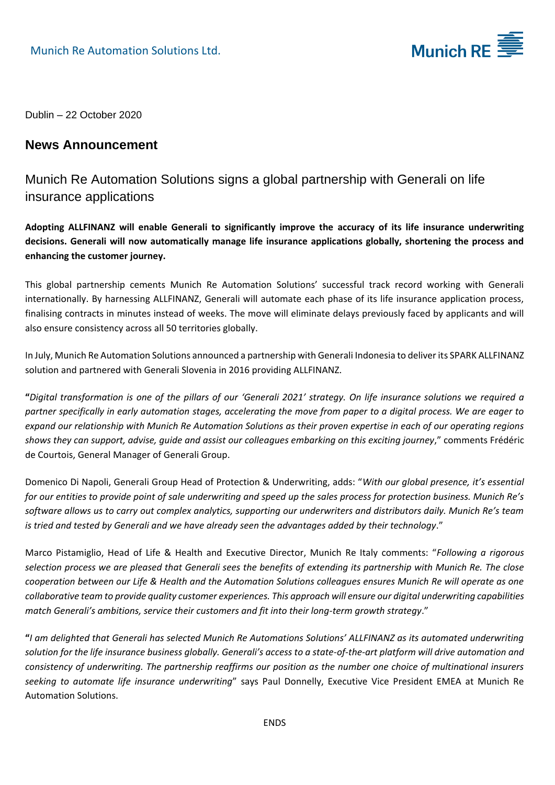

Dublin – 22 October 2020

## **News Announcement**

Munich Re Automation Solutions signs a global partnership with Generali on life insurance applications

**Adopting ALLFINANZ will enable Generali to significantly improve the accuracy of its life insurance underwriting decisions. Generali will now automatically manage life insurance applications globally, shortening the process and enhancing the customer journey.**

This global partnership cements Munich Re Automation Solutions' successful track record working with Generali internationally. By harnessing ALLFINANZ, Generali will automate each phase of its life insurance application process, finalising contracts in minutes instead of weeks. The move will eliminate delays previously faced by applicants and will also ensure consistency across all 50 territories globally.

In July, Munich Re Automation Solutions announced a partnership with Generali Indonesia to deliver its SPARK ALLFINANZ solution and partnered with Generali Slovenia in 2016 providing ALLFINANZ.

**"***Digital transformation is one of the pillars of our 'Generali 2021' strategy. On life insurance solutions we required a partner specifically in early automation stages, accelerating the move from paper to a digital process. We are eager to expand our relationship with Munich Re Automation Solutions as their proven expertise in each of our operating regions shows they can support, advise, guide and assist our colleagues embarking on this exciting journey*," comments Frédéric de Courtois, General Manager of Generali Group.

Domenico Di Napoli, Generali Group Head of Protection & Underwriting, adds: "*With our global presence, it's essential for our entities to provide point of sale underwriting and speed up the sales process for protection business. Munich Re's software allows us to carry out complex analytics, supporting our underwriters and distributors daily. Munich Re's team is tried and tested by Generali and we have already seen the advantages added by their technology*."

Marco Pistamiglio, Head of Life & Health and Executive Director, Munich Re Italy comments: "*Following a rigorous selection process we are pleased that Generali sees the benefits of extending its partnership with Munich Re. The close cooperation between our Life & Health and the Automation Solutions colleagues ensures Munich Re will operate as one collaborative team to provide quality customer experiences. This approach will ensure our digital underwriting capabilities match Generali's ambitions, service their customers and fit into their long-term growth strategy*."

**"***I am delighted that Generali has selected Munich Re Automations Solutions' ALLFINANZ as its automated underwriting solution for the life insurance business globally. Generali's access to a state-of-the-art platform will drive automation and consistency of underwriting. The partnership reaffirms our position as the number one choice of multinational insurers seeking to automate life insurance underwriting*" says Paul Donnelly, Executive Vice President EMEA at Munich Re Automation Solutions.